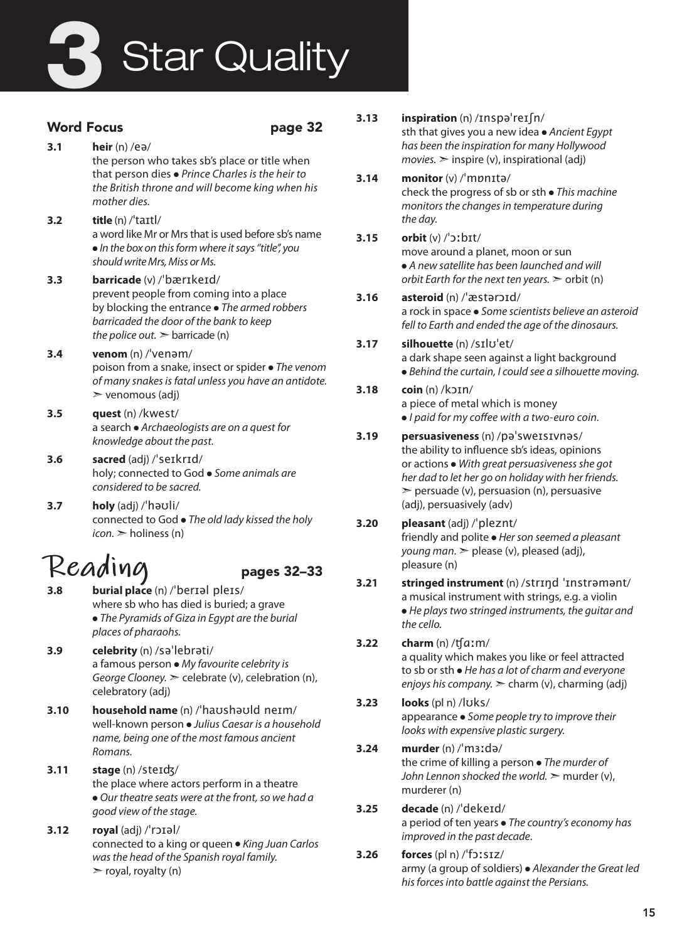# **Star Quality**

### Word Focus **page 32**

- **3.1 heir** (n) /eə/ the person who takes sb's place or title when that person dies ● *Prince Charles is the heir to the British throne and will become king when his mother dies.*
- **3.2 title** (n) /ˈtaɪtl/ a word like Mr or Mrs that is used before sb's name ● *In the box on this form where it says ''title'', you should write Mrs, Miss or Ms.*
- **3.3 barricade** (v) /ˈbærɪkeɪd/ prevent people from coming into a place by blocking the entrance ● *The armed robbers barricaded the door of the bank to keep the police out.* ➣ barricade (n)
- **3.4 venom** (n) /ˈvenəm/ poison from a snake, insect or spider ● *The venom of many snakes is fatal unless you have an antidote.*  $\triangleright$  venomous (adj)
- **3.5 quest** (n) /kwest/ a search ● *Archaeologists are on a quest for knowledge about the past.*
- **3.6 sacred** (adj) /ˈseɪkrɪd/ holy; connected to God ● *Some animals are considered to be sacred.*
- **3.7 holy** (adj) /ˈhəʊli/ connected to God ● *The old lady kissed the holy icon.* ➣ holiness (n)

## **Reading** pages 32–33

- 
- **3.8 burial place** (n) /ˈberɪəl pleɪs/ where sb who has died is buried; a grave ● *The Pyramids of Giza in Egypt are the burial places of pharaohs.*
- **3.9 celebrity** (n) /səˈlebrəti/ a famous person ● *My favourite celebrity is George Clooney.* ➣ celebrate (v), celebration (n), celebratory (adj)
- **3.10 household name** (n) /ˈhaʊshəʊld neɪm/ well-known person ● *Julius Caesar is a household name, being one of the most famous ancient Romans.*
- **3.11 stage** (n) /steɪʤ/ the place where actors perform in a theatre ● *Our theatre seats were at the front, so we had a good view of the stage.*
- **3.12 royal** (adj) /ˈrɔɪəl/ connected to a king or queen ● *King Juan Carlos was the head of the Spanish royal family.*  $\triangleright$  royal, royalty (n)
- **3.13 inspiration** (n) /ɪnspəˈreɪʃn/ sth that gives you a new idea ● *Ancient Egypt has been the inspiration for many Hollywood*   $movies.$   $\geq$  inspire (v), inspirational (adj)
- **3.14 monitor** (v) /ˈmɒnɪtə/ check the progress of sb or sth ● *This machine monitors the changes in temperature during the day.*
- **3.15 orbit** (v) /ˈɔːbɪt/ move around a planet, moon or sun ● *A new satellite has been launched and will orbit Earth for the next ten years.* ➣ orbit (n)
- **3.16 asteroid** (n) /ˈæstərɔɪd/ a rock in space ● *Some scientists believe an asteroid fell to Earth and ended the age of the dinosaurs.*

#### **3.17 silhouette** (n) /sɪlʊˈet/ a dark shape seen against a light background ● *Behind the curtain, I could see a silhouette moving.*

- **3.18 coin** (n) /kɔɪn/ a piece of metal which is money ● *I paid for my coffee with a two-euro coin.*
- **3.19 persuasiveness** (n) /pəˈsweɪsɪvnəs/ the ability to influence sb's ideas, opinions or actions ● *With great persuasiveness she got her dad to let her go on holiday with her friends.*  $\ge$  persuade (v), persuasion (n), persuasive (adj), persuasively (adv)

#### **3.20 pleasant** (adj) /ˈpleznt/ friendly and polite ● *Her son seemed a pleasant young man*. ➣ please (v), pleased (adj), pleasure (n)

**3.21 stringed instrument** (n) /strɪŋd ˈɪnstrəmənt/ a musical instrument with strings, e.g. a violin ● *He plays two stringed instruments, the guitar and the cello.*

### **3.22 charm** (n) /ʧɑːm/

a quality which makes you like or feel attracted to sb or sth ● *He has a lot of charm and everyone enjoys his company.* ➣ charm (v), charming (adj)

**3.23 looks** (pl n) /lʊks/ appearance ● *Some people try to improve their looks with expensive plastic surgery.*

### **3.24 murder** (n) /ˈmɜːdə/ the crime of killing a person ● *The murder of*

*John Lennon shocked the world.* > murder (v), murderer (n)

- **3.25 decade** (n) /ˈdekeɪd/ a period of ten years ● *The country's economy has improved in the past decade*.
- **3.26 forces** (pl n) /ˈfɔːsɪz/ army (a group of soldiers) ● *Alexander the Great led his forces into battle against the Persians.*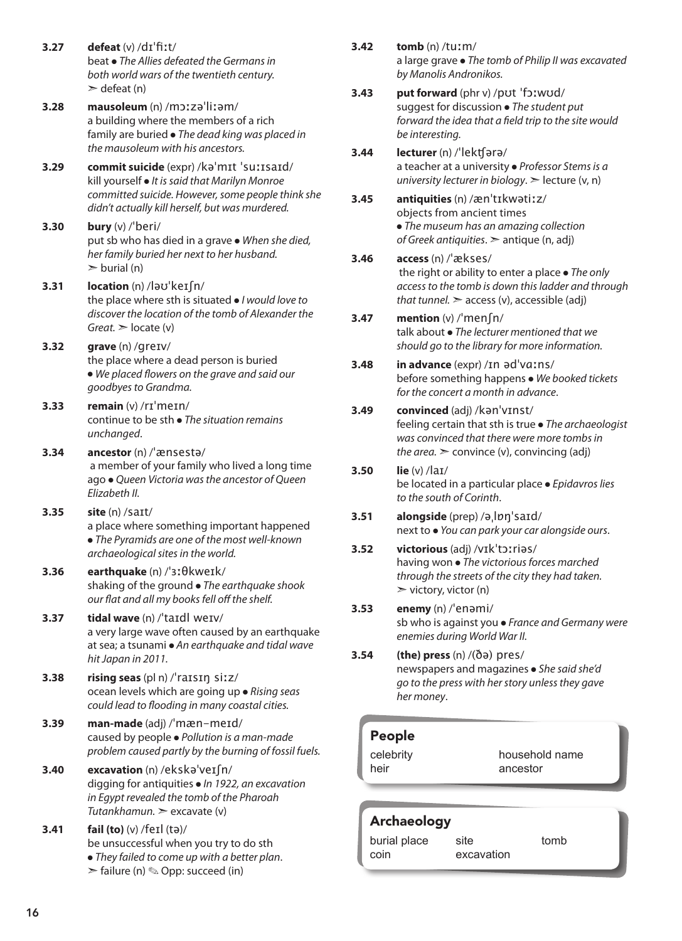- **3.27 defeat** (v) /dɪˈfiːt/ beat ● *The Allies defeated the Germans in both world wars of the twentieth century.*  $\ge$  defeat (n)
- **3.28 mausoleum** (n) /mɔːzəˈliːəm/ a building where the members of a rich family are buried ● *The dead king was placed in the mausoleum with his ancestors.*
- **3.29 commit suicide** (expr) /kəˈmɪt ˈsuːɪsaɪd/ kill yourself ● *It is said that Marilyn Monroe committed suicide. However, some people think she didn't actually kill herself, but was murdered.*
- **3.30 bury** (v) /ˈberi/ put sb who has died in a grave ● *When she died, her family buried her next to her husband.*  $\triangleright$  burial (n)
- **3.31 location** (n) /ləʊˈkeɪʃn/ the place where sth is situated ● *I would love to discover the location of the tomb of Alexander the Great.* ➣ locate (v)
- **3.32 grave** (n) /greɪv/ the place where a dead person is buried ● *We placed flowers on the grave and said our goodbyes to Grandma.*
- **3.33 remain** (v) /rɪˈmeɪn/ continue to be sth ● *The situation remains unchanged*.
- **3.34 ancestor** (n) /ˈænsestə/ a member of your family who lived a long time ago ● *Queen Victoria was the ancestor of Queen Elizabeth II.*
- **3.35 site** (n) /saɪt/ a place where something important happened ● *The Pyramids are one of the most well-known archaeological sites in the world.*
- **3.36 earthquake** (n) /ˈɜːθkweɪk/ shaking of the ground ● *The earthquake shook our flat and all my books fell off the shelf.*
- **3.37 tidal wave** (n) /ˈtaɪdl weɪv/ a very large wave often caused by an earthquake at sea; a tsunami ● *An earthquake and tidal wave hit Japan in 2011.*
- **3.38 rising seas** (pl n) /ˈraɪsɪŋ siːz/ ocean levels which are going up ● *Rising seas could lead to flooding in many coastal cities.*
- **3.39 man-made** (adj) /ˈmæn-meɪd/ caused by people ● *Pollution is a man-made problem caused partly by the burning of fossil fuels.*
- **3.40 excavation** (n) /ekskəˈveɪʃn/ digging for antiquities ● *In 1922, an excavation in Egypt revealed the tomb of the Pharoah Tutankhamun.* ➣ excavate (v)
- **3.41 fail (to)** (v) /feɪl (tə)/ be unsuccessful when you try to do sth ● *They failed to come up with a better plan*.  $\triangleright$  failure (n)  $\otimes$  Opp: succeed (in)
- **3.42 tomb** (n) /tuːm/ a large grave ● *The tomb of Philip II was excavated by Manolis Andronikos.*
- **3.43 put forward** (phr v) /pʊt ˈfɔːwʊd/ suggest for discussion ● *The student put forward the idea that a field trip to the site would be interesting.*
- **3.44 lecturer** (n) /ˈlekʧərə/ a teacher at a university ● *Professor Stems is a university lecturer in biology*. ➣ lecture (v, n)
- **3.45 antiquities** (n) /ænˈtɪkwətiːz/ objects from ancient times ● *The museum has an amazing collection of Greek antiquities*. ➣ antique (n, adj)
- **3.46 access** (n) /ˈækses/ the right or ability to enter a place ● *The only access to the tomb is down this ladder and through that tunnel.*  $\geq$  access (v), accessible (adj)
- **3.47 mention** (v) /ˈmenʃn/ talk about ● *The lecturer mentioned that we should go to the library for more information.*
- **3.48 in advance** (expr) /ɪn ədˈvɑːns/ before something happens ● *We booked tickets for the concert a month in advance*.
- **3.49 convinced** (adj) /kənˈvɪnst/ feeling certain that sth is true ● *The archaeologist was convinced that there were more tombs in the area.*  $\ge$  convince (v), convincing (adj)
- **3.50 lie** (v) /laɪ/ be located in a particular place ● *Epidavros lies to the south of Corinth*.
- **3.51 alongside** (prep) /əˌlɒŋˈsaɪd/ next to ● *You can park your car alongside ours*.
- **3.52 victorious** (adj) /vɪkˈtɔːriəs/ having won ● *The victorious forces marched through the streets of the city they had taken.*  $\triangleright$  victory, victor (n)
- **3.53 enemy** (n) /ˈenəmi/ sb who is against you ● *France and Germany were enemies during World War II.*
- **3.54 (the) press** (n) /(ðə) pres/ newspapers and magazines ● *She said she'd go to the press with her story unless they gave her money*.

### People

celebrity heir household name ancestor

### Archaeology

| burial place | site       | tomb |
|--------------|------------|------|
| coin         | excavation |      |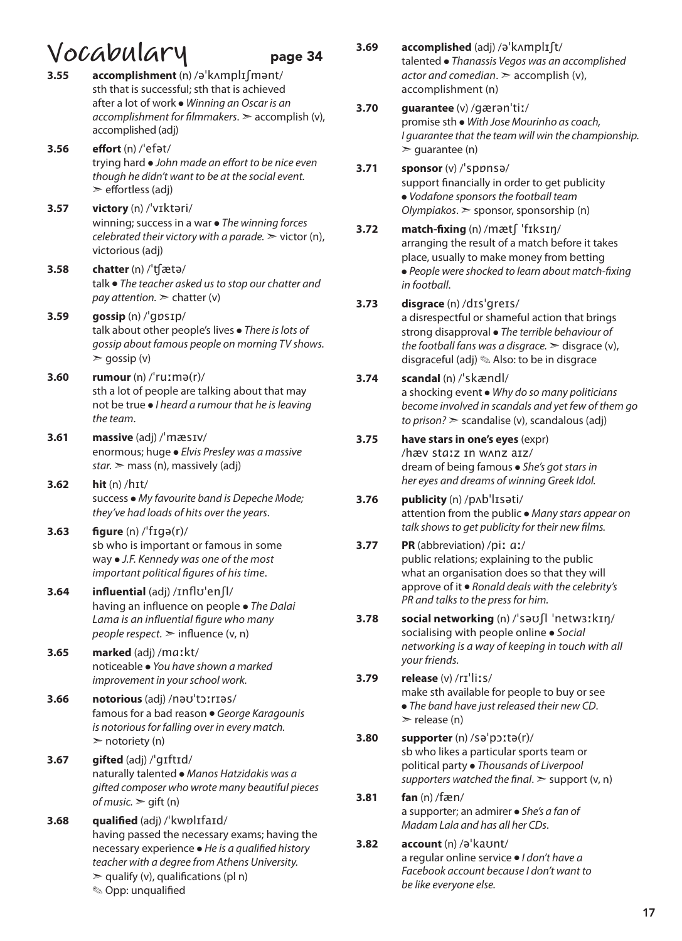# **Vocabulary** page 34<br>3.55 accomplishment (n) /ə'kʌmplɪfmənt/

- **3.55 accomplishment** (n) /əˈkʌmplɪʃmənt/ sth that is successful; sth that is achieved after a lot of work ● *Winning an Oscar is an accomplishment for filmmakers*. ➣ accomplish (v), accomplished (adj)
- **3.56 effort** (n) /ˈefət/ trying hard ● *John made an effort to be nice even though he didn't want to be at the social event.*  $\geq$  effortless (adj)
- **3.57 victory** (n) /ˈvɪktəri/ winning; success in a war ● *The winning forces celebrated their victory with a parade.* ➣ victor (n), victorious (adj)
- **3.58 chatter** (n) /ˈʧætə/ talk ● *The teacher asked us to stop our chatter and pay attention.*  $\geq$  chatter (v)
- **3.59 gossip** (n) /ˈgɒsɪp/ talk about other people's lives ● *There is lots of gossip about famous people on morning TV shows.*  $\ge$  gossip (v)
- **3.60 rumour** (n) /ˈruːmə(r)/ sth a lot of people are talking about that may not be true ● *I heard a rumour that he is leaving the team*.
- **3.61 massive** (adj) /ˈmæsɪv/ enormous; huge ● *Elvis Presley was a massive star.* ➣ mass (n), massively (adj)
- **3.62 hit** (n) /hɪt/ success ● *My favourite band is Depeche Mode; they've had loads of hits over the years*.
- **3.63 figure** (n) /ˈfɪɡə(r)/ sb who is important or famous in some way ● *J.F. Kennedy was one of the most important political figures of his time*.
- **3.64 influential** (adj) /ɪnflʊˈenʃl/ having an influence on people ● *The Dalai Lama is an influential figure who many people respect.* ➣ influence (v, n)
- **3.65 marked** (adj) /mɑːkt/ noticeable ● *You have shown a marked improvement in your school work.*
- **3.66 notorious** (adj) /nəʊˈtɔːrɪəs/ famous for a bad reason ● *George Karagounis is notorious for falling over in every match.*  $\triangleright$  notoriety (n)
- **3.67 gifted** (adj) /ˈgɪftɪd/ naturally talented ● *Manos Hatzidakis was a gifted composer who wrote many beautiful pieces of music.*  $\ge$  qift (n)
- **3.68 qualified** (adj) /ˈkwɒlɪfaɪd/ having passed the necessary exams; having the necessary experience ● *He is a qualified history teacher with a degree from Athens University.*  $\ge$  qualify (v), qualifications (pl n) ✎ Opp: unqualified

**3.69 accomplished** (adj) /əˈkʌmplɪʃt/ talented ● *Thanassis Vegos was an accomplished actor and comedian*. ➣ accomplish (v), accomplishment (n)

#### **3.70 guarantee** (v) /gærənˈtiː/

promise sth ● *With Jose Mourinho as coach, I guarantee that the team will win the championship.*   $\ge$  quarantee (n)

- **3.71 sponsor** (v) /ˈspɒnsə/ support financially in order to get publicity ● *Vodafone sponsors the football team*
- **3.72 match-fixing** (n) /mætʃ ˈfɪksɪŋ/ arranging the result of a match before it takes place, usually to make money from betting ● *People were shocked to learn about match-fixing in football*.

*Olympiakos*. ➣ sponsor, sponsorship (n)

### **3.73 disgrace** (n) /dɪsˈgreɪs/

a disrespectful or shameful action that brings strong disapproval ● *The terrible behaviour of the football fans was a disgrace.*  $\geq$  disgrace (v), disgraceful (adj) ✎ Also: to be in disgrace

### **3.74 scandal** (n) /ˈskændl/

a shocking event ● *Why do so many politicians become involved in scandals and yet few of them go to prison?* ➣ scandalise (v), scandalous (adj)

### **3.75 have stars in one's eyes** (expr)

/hæv stɑːz ɪn wʌnz aɪz/ dream of being famous ● *She's got stars in her eyes and dreams of winning Greek Idol.* 

#### **3.76 publicity** (n) /pʌbˈlɪsəti/ attention from the public ● *Many stars appear on talk shows to get publicity for their new films.*

#### **3.77 PR** (abbreviation) /piː ɑː/ public relations; explaining to the public what an organisation does so that they will approve of it ● *Ronald deals with the celebrity's PR* and talks to the press for him.

- **3.78 social networking** (n) /ˈsəʊʃl ˈnetwɜːkɪŋ/ socialising with people online ● *Social networking is a way of keeping in touch with all your friends.*
- **3.79 release** (v) /rɪˈliːs/ make sth available for people to buy or see ● *The band have just released their new CD*.  $\ge$  release (n)
- **3.80 supporter** (n) /səˈpɔːtə(r)/ sb who likes a particular sports team or political party ● *Thousands of Liverpool supporters watched the final*. ➣ support (v, n)
- **3.81 fan** (n) /fæn/ a supporter; an admirer ● *She's a fan of Madam Lala and has all her CDs*.
- **3.82 account** (n) /əˈkaʊnt/ a regular online service ● *I don't have a Facebook account because I don't want to be like everyone else.*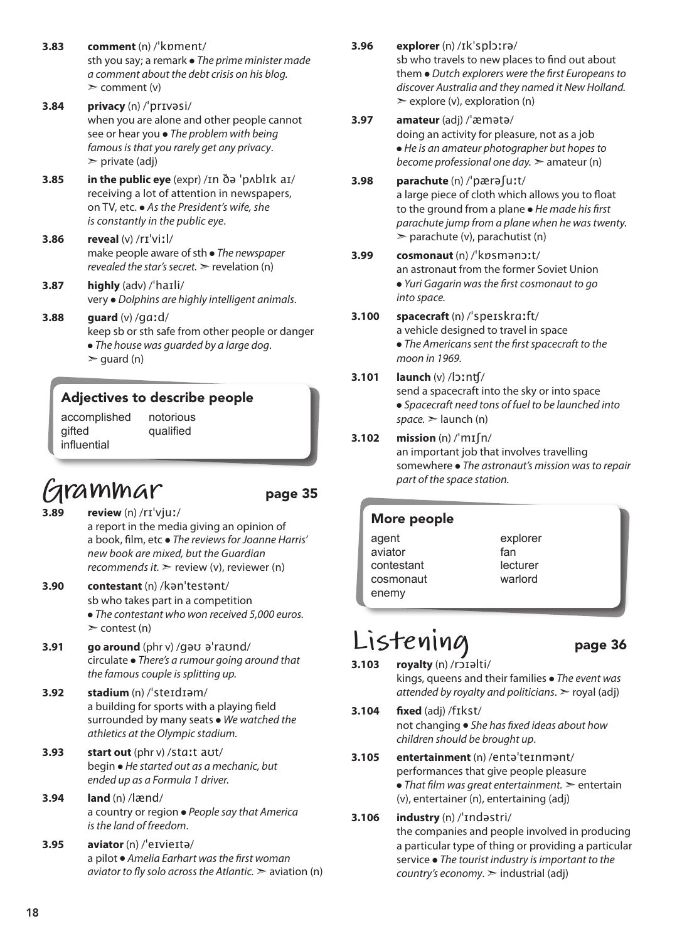- **3.83 comment** (n) /ˈkɒment/ sth you say; a remark ● *The prime minister made a comment about the debt crisis on his blog.*  $\geq$  comment (v)
- **3.84 privacy** (n) /ˈprɪvəsi/ when you are alone and other people cannot see or hear you ● *The problem with being*  famous is that you rarely get any privacy.  $\triangleright$  private (adi)
- **3.85 in the public eye** (expr) /ɪn ðə ˈpʌblɪk aɪ/ receiving a lot of attention in newspapers, on TV, etc. ● *As the President's wife, she is constantly in the public eye*.
- **3.86 reveal** (v) /rɪˈviːl/ make people aware of sth ● *The newspaper revealed the star's secret.* > revelation (n)
- **3.87 highly** (adv) /ˈhaɪli/ very ● *Dolphins are highly intelligent animals*.
- **3.88 guard** (v) /ɡɑːd/ keep sb or sth safe from other people or danger ● *The house was guarded by a large dog*.  $\ge$  guard (n)

### Adjectives to describe people

accomplished gifted influential notorious qualified

### **Grammar** page 35

**3.89 review** (n) /rɪˈvjuː/ a report in the media giving an opinion of

a book, film, etc ● *The reviews for Joanne Harris' new book are mixed, but the Guardian recommends it.* ➣ review (v), reviewer (n)

- **3.90 contestant** (n) /kənˈtestənt/ sb who takes part in a competition ● *The contestant who won received 5,000 euros.*
- $\ge$  contest (n) **3.91 go around** (phr v) /gəʊ əˈraʊnd/
- circulate *There's a rumour going around that the famous couple is splitting up.*
- **3.92 stadium** (n) /ˈsteɪdɪəm/ a building for sports with a playing field surrounded by many seats ● *We watched the athletics at the Olympic stadium.*
- **3.93 start out** (phr v) /stɑːt aʊt/ begin ● *He started out as a mechanic, but ended up as a Formula 1 driver.*
- **3.94 land** (n) /lænd/ a country or region ● *People say that America is the land of freedom*.
- **3.95 aviator** (n) /ˈeɪvieɪtə/ a pilot ● *Amelia Earhart was the first woman aviator to fly solo across the Atlantic.* ➣ aviation (n)
- **3.96 explorer** (n) /ɪkˈsplɔːrə/ sb who travels to new places to find out about them ● *Dutch explorers were the first Europeans to*
- $\geq$  explore (v), exploration (n) **3.97 amateur** (adj) /ˈæmətə/ doing an activity for pleasure, not as a job ● *He is an amateur photographer but hopes to become professional one day.* ➣ amateur (n)

*discover Australia and they named it New Holland.*

- **3.98 parachute** (n) /ˈpærəʃuːt/ a large piece of cloth which allows you to float to the ground from a plane ● *He made his first parachute jump from a plane when he was twenty.*  $\geq$  parachute (v), parachutist (n)
- **3.99 cosmonaut** (n) /ˈkɒsmənɔːt/ an astronaut from the former Soviet Union ● *Yuri Gagarin was the first cosmonaut to go into space.*
- **3.100 spacecraft** (n) /ˈspeɪskrɑːft/ a vehicle designed to travel in space

● *The Americans sent the first spacecraft to the moon in 1969.*

### **3.101 launch** (v) /lɔːnʧ/

send a spacecraft into the sky or into space ● *Spacecraft need tons of fuel to be launched into*   $space.$   $\ge$  launch (n)

### **3.102 mission** (n) /ˈmɪʃn/

an important job that involves travelling somewhere ● *The astronaut's mission was to repair part of the space station.*

#### More people

agent aviator contestant cosmonaut enemy

explorer fan lecturer warlord

### Listening page 36

- **3.103 royalty** (n) /rɔɪəlti/ kings, queens and their families ● *The event was attended by royalty and politicians*. ➣ royal (adj)
- **3.104 fixed** (adj) /fɪkst/ not changing ● *She has fixed ideas about how children should be brought up*.
- **3.105 entertainment** (n) /entəˈteɪnmənt/ performances that give people pleasure ● *That film was great entertainment.* ➣ entertain (v), entertainer (n), entertaining (adj)
- **3.106 industry** (n) /ˈɪndəstri/ the companies and people involved in producing a particular type of thing or providing a particular service ● *The tourist industry is important to the country's economy*. ➣ industrial (adj)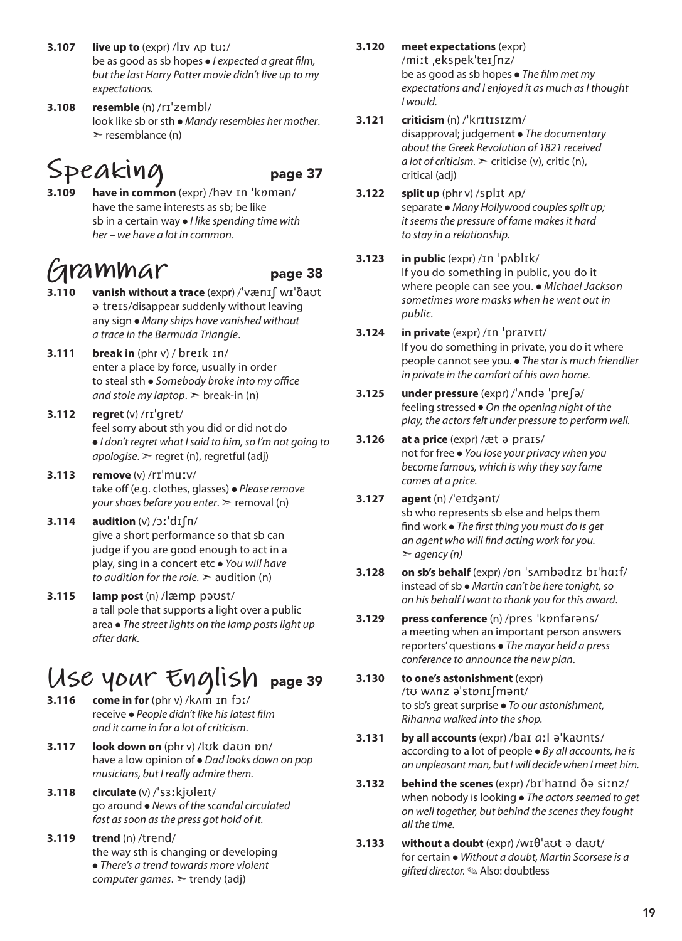- **3.107 live up to** (expr) /lɪv ʌp tuː/ be as good as sb hopes ● *I expected a great film, but the last Harry Potter movie didn't live up to my expectations.*
- **3.108 resemble** (n) /rɪˈzembl/ look like sb or sth ● *Mandy resembles her mother*.  $\ge$  resemblance (n)

### Speaking page 37

**3.109 have in common** (expr) /həv ɪn ˈkɒmən/ have the same interests as sb; be like sb in a certain way ● *I like spending time with her – we have a lot in common*.

### **Grammar** page 38

- 
- **3.110 vanish without a trace** (expr) /ˈvænɪʃ wɪˈðaʊt ə treɪs/disappear suddenly without leaving any sign ● *Many ships have vanished without a trace in the Bermuda Triangle*.
- **3.111 break in** (phr v) / breɪk ɪn/ enter a place by force, usually in order to steal sth ● *Somebody broke into my office and stole my laptop*. ➣ break-in (n)
- **3.112 regret** (v) /rɪˈɡret/ feel sorry about sth you did or did not do ● *I don't regret what I said to him, so I'm not going to apologise*. ➣ regret (n), regretful (adj)
- **3.113 remove** (v) /rɪˈmuːv/ take off (e.g. clothes, glasses) ● *Please remove your shoes before you enter.*  $\ge$  removal (n)
- **3.114 audition** (v) /ɔːˈdɪʃn/ give a short performance so that sb can judge if you are good enough to act in a play, sing in a concert etc ● *You will have to audition for the role.* ➣ audition (n)
- **3.115 lamp post** (n) /læmp pəʊst/ a tall pole that supports a light over a public area ● *The street lights on the lamp posts light up after dark.*

### **Use your English** page 39

- **3.116 come in for** (phr v) /kʌm ɪn fɔː/ receive ● *People didn't like his latest film and it came in for a lot of criticism*.
- **3.117 look down on** (phr v) /lʊk daʊn ɒn/ have a low opinion of ● *Dad looks down on pop musicians, but I really admire them.*
- **3.118 circulate** (v) /ˈsɜːkjʊleɪt/ go around ● *News of the scandal circulated fast as soon as the press got hold of it.*
- **3.119 trend** (n) /trend/ the way sth is changing or developing ● *There's a trend towards more violent computer games*. ➣ trendy (adj)
- **3.120 meet expectations** (expr) /miːt ˌekspekˈteɪʃnz/ be as good as sb hopes ● *The film met my expectations and I enjoyed it as much as I thought I would.*
- **3.121 criticism** (n) /ˈkrɪtɪsɪzm/ disapproval; judgement ● *The documentary about the Greek Revolution of 1821 received a lot of criticism.* ➣ criticise (v), critic (n), critical (adj)
- **3.122 split up** (phr v) /splɪt ʌp/ separate ● *Many Hollywood couples split up; it seems the pressure of fame makes it hard to stay in a relationship.*

#### **3.123 in public** (expr) /ɪn ˈpʌblɪk/ If you do something in public, you do it where people can see you. ● *Michael Jackson sometimes wore masks when he went out in public.*

- **3.124 in private** (expr) /ɪn ˈpraɪvɪt/ If you do something in private, you do it where people cannot see you. ● *The star is much friendlier in private in the comfort of his own home.*
- **3.125 under pressure** (expr) /ˈʌndə ˈpreʃə/ feeling stressed ● *On the opening night of the play, the actors felt under pressure to perform well.*
- **3.126 at a price** (expr) /æt ə praɪs/ not for free ● *You lose your privacy when you become famous, which is why they say fame comes at a price.*
- **3.127 agent** (n) /ˈeɪʤənt/ sb who represents sb else and helps them find work ● *The first thing you must do is get an agent who will find acting work for you.*  ➣ *agency (n)*
- **3.128 on sb's behalf** (expr) /ɒn ˈsʌmbədɪz bɪˈhɑːf/ instead of sb ● *Martin can't be here tonight, so on his behalf I want to thank you for this award*.
- **3.129 press conference** (n) /pres ˈkɒnfərəns/ a meeting when an important person answers reporters' questions ● *The mayor held a press conference to announce the new plan*.
- **3.130 to one's astonishment** (expr) /tʊ wʌnz əˈstɒnɪʃmənt/ to sb's great surprise ● *To our astonishment, Rihanna walked into the shop.*
- **3.131 by all accounts** (expr) /baɪ ɑːl əˈkaʊnts/ according to a lot of people ● *By all accounts, he is an unpleasant man, but I will decide when I meet him.*
- **3.132 behind the scenes** (expr) /bɪˈhaɪnd ðə siːnz/ when nobody is looking ● *The actors seemed to get on well together, but behind the scenes they fought all the time.*
- **3.133 without a doubt** (expr) /wɪθˈaʊt ə daʊt/ for certain ● *Without a doubt, Martin Scorsese is a gifted director.* ✎ Also: doubtless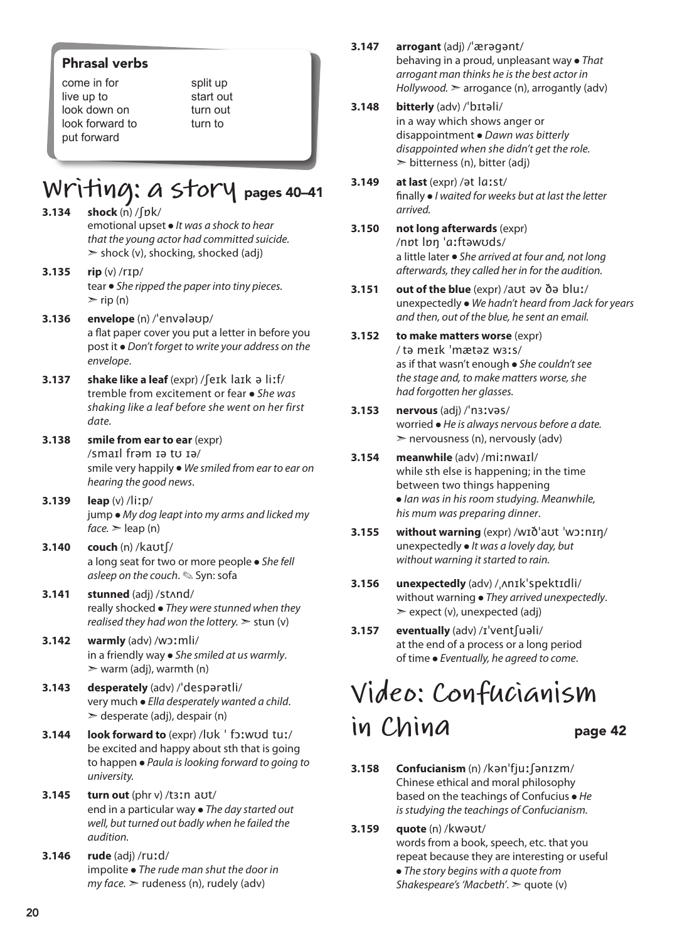### Phrasal verbs

come in for live up to look down on look forward to put forward

split up start out turn out turn to

### **Writing: a story** pages 40–41

- **3.134 shock** (n) /ʃɒk/ emotional upset ● *It was a shock to hear that the young actor had committed suicide.*  $\ge$  shock (v), shocking, shocked (adj)
- **3.135 rip** (v) /rɪp/ tear ● *She ripped the paper into tiny pieces.*  $\triangleright$  rip (n)
- **3.136 envelope** (n) /ˈenvələʊp/ a flat paper cover you put a letter in before you post it ● *Don't forget to write your address on the envelope*.
- **3.137 shake like a leaf** (expr) /ʃeɪk laɪk ə liːf/ tremble from excitement or fear ● *She was shaking like a leaf before she went on her first date.*
- **3.138 smile from ear to ear** (expr) /smaɪl frəm ɪə tʊ ɪə/ smile very happily ● *We smiled from ear to ear on hearing the good news*.
- **3.139 leap** (v) /liːp/ jump ● *My dog leapt into my arms and licked my*   $face.$   $\ge$  leap (n)
- **3.140 couch** (n) /kaʊtʃ/ a long seat for two or more people ● *She fell asleep on the couch*. ✎ Syn: sofa
- **3.141 stunned** (adj) /stʌnd/ really shocked ● *They were stunned when they realised they had won the lottery.*  $>$  stun (v)
- **3.142 warmly** (adv) /wɔːmli/ in a friendly way ● *She smiled at us warmly*.  $\triangleright$  warm (adj), warmth (n)
- **3.143 desperately** (adv) /ˈdespərətli/ very much ● *Ella desperately wanted a child*.  $\geq$  desperate (adj), despair (n)
- **3.144 look forward to** (expr) /lʊk ˈ fɔːwʊd tuː/ be excited and happy about sth that is going to happen ● *Paula is looking forward to going to university.*
- **3.145 turn out** (phr v) /tɜːn aʊt/ end in a particular way ● *The day started out well, but turned out badly when he failed the audition.*
- **3.146 rude** (adj) /ruːd/ impolite ● *The rude man shut the door in my face.* ➣ rudeness (n), rudely (adv)
- **3.147 arrogant** (adj) /ˈærəgənt/ behaving in a proud, unpleasant way ● *That arrogant man thinks he is the best actor in Hollywood.* ➣ arrogance (n), arrogantly (adv)
- **3.148 bitterly** (adv) /ˈbɪtəli/ in a way which shows anger or disappointment ● *Dawn was bitterly disappointed when she didn't get the role.*  $\geq$  bitterness (n), bitter (adj)
- **3.149 at last** (expr) /ət lɑːst/ finally ● *I waited for weeks but at last the letter arrived.*
- **3.150 not long afterwards** (expr) /nɒt lɒŋ ˈɑːftəwʊds/ a little later ● *She arrived at four and, not long afterwards, they called her in for the audition.*
- **3.151 out of the blue** (expr) /aʊt əv ðə bluː/ unexpectedly ● *We hadn't heard from Jack for years and then, out of the blue, he sent an email.*
- **3.152 to make matters worse** (expr) / tə meɪk ˈmætəz wɜːs/ as if that wasn't enough ● *She couldn't see the stage and, to make matters worse, she had forgotten her glasses.*
- **3.153 nervous** (adj) /ˈnɜːvəs/ worried ● *He is always nervous before a date.*  $\geq$  nervousness (n), nervously (adv)
- **3.154 meanwhile** (adv) /miːnwaɪl/ while sth else is happening; in the time between two things happening ● *Ian was in his room studying. Meanwhile, his mum was preparing dinner*.
- **3.155 without warning** (expr) /wɪðˈaʊt ˈwɔːnɪŋ/ unexpectedly ● *It was a lovely day, but without warning it started to rain.*
- **3.156 unexpectedly** (adv) /ˌʌnɪkˈspektɪdli/ without warning ● *They arrived unexpectedly*.  $\geq$  expect (v), unexpected (adj)
- **3.157 eventually** (adv) /ɪˈventʃuəli/ at the end of a process or a long period of time ● *Eventually, he agreed to come*.

### **Video: Confucianism**  in China page 42

- **3.158 Confucianism** (n) /kənˈfjuːʃənɪzm/ Chinese ethical and moral philosophy based on the teachings of Confucius ● *He is studying the teachings of Confucianism.*
- **3.159 quote** (n) /kwəʊt/ words from a book, speech, etc. that you repeat because they are interesting or useful ● *The story begins with a quote from Shakespeare's'Macbeth'*. ➣ quote (v)